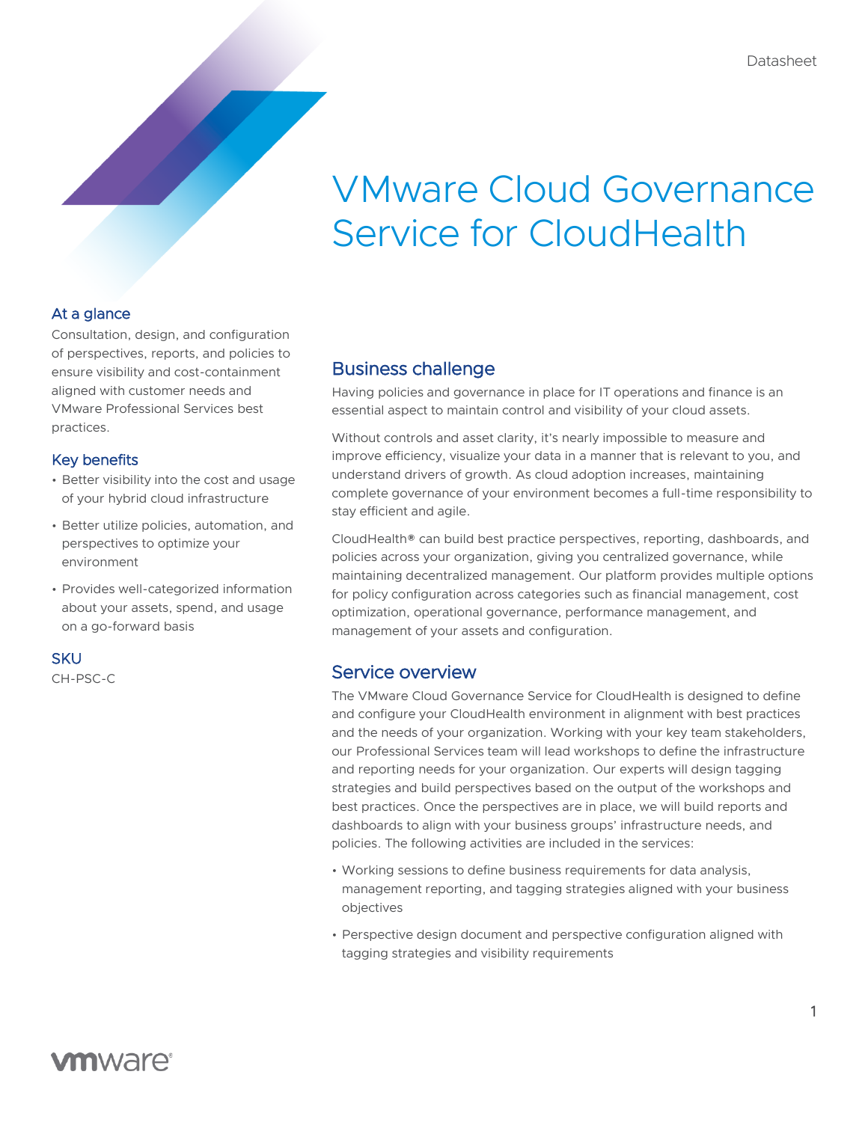# VMware Cloud Governance Service for CloudHealth

## At a glance

Consultation, design, and configuration of perspectives, reports, and policies to ensure visibility and cost-containment aligned with customer needs and VMware Professional Services best practices.

#### Key benefits

- Better visibility into the cost and usage of your hybrid cloud infrastructure
- Better utilize policies, automation, and perspectives to optimize your environment
- Provides well-categorized information about your assets, spend, and usage on a go-forward basis

#### **SKU**

CH-PSC-C

# Business challenge

Having policies and governance in place for IT operations and finance is an essential aspect to maintain control and visibility of your cloud assets.

Without controls and asset clarity, it's nearly impossible to measure and improve efficiency, visualize your data in a manner that is relevant to you, and understand drivers of growth. As cloud adoption increases, maintaining complete governance of your environment becomes a full-time responsibility to stay efficient and agile.

CloudHealth® can build best practice perspectives, reporting, dashboards, and policies across your organization, giving you centralized governance, while maintaining decentralized management. Our platform provides multiple options for policy configuration across categories such as financial management, cost optimization, operational governance, performance management, and management of your assets and configuration.

# Service overview

The VMware Cloud Governance Service for CloudHealth is designed to define and configure your CloudHealth environment in alignment with best practices and the needs of your organization. Working with your key team stakeholders, our Professional Services team will lead workshops to define the infrastructure and reporting needs for your organization. Our experts will design tagging strategies and build perspectives based on the output of the workshops and best practices. Once the perspectives are in place, we will build reports and dashboards to align with your business groups' infrastructure needs, and policies. The following activities are included in the services:

- Working sessions to define business requirements for data analysis, management reporting, and tagging strategies aligned with your business objectives
- Perspective design document and perspective configuration aligned with tagging strategies and visibility requirements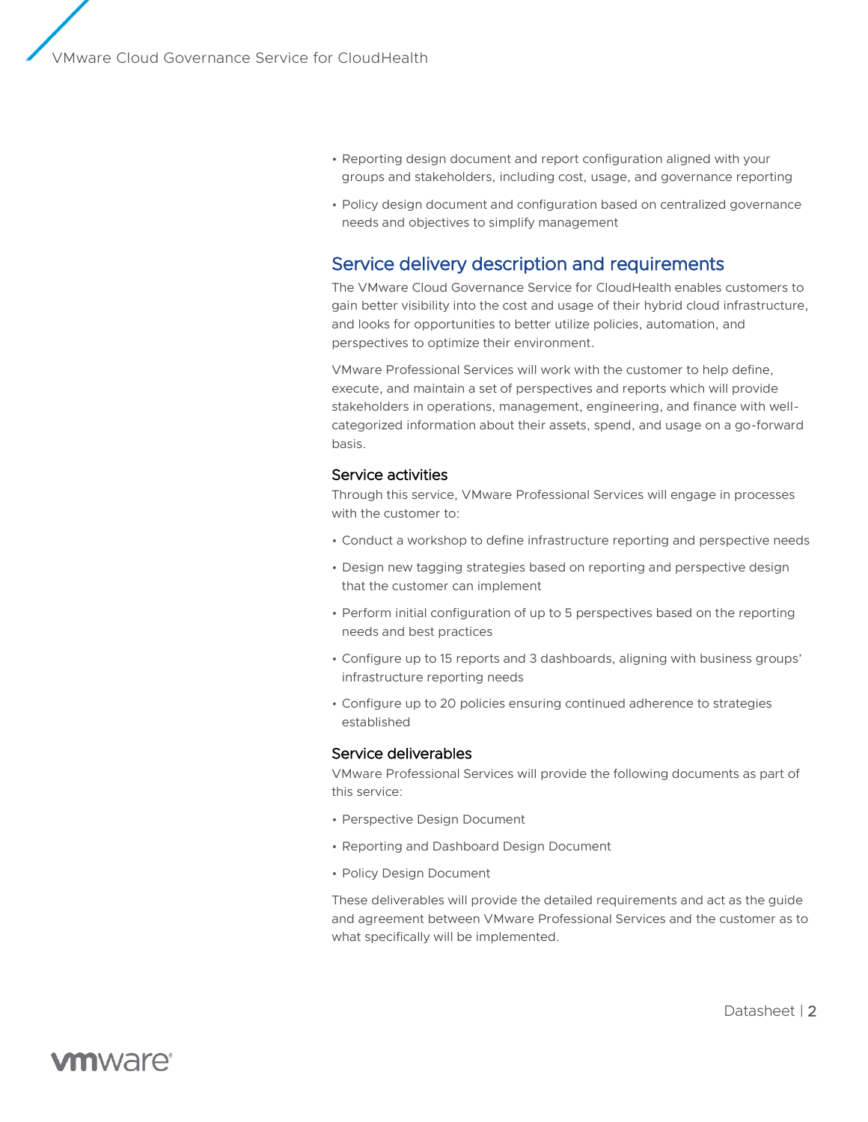- Reporting design document and report configuration aligned with your groups and stakeholders, including cost, usage, and governance reporting
- Policy design document and configuration based on centralized governance needs and objectives to simplify management

# Service delivery description and requirements

The VMware Cloud Governance Service for CloudHealth enables customers to gain better visibility into the cost and usage of their hybrid cloud infrastructure, and looks for opportunities to better utilize policies, automation, and perspectives to optimize their environment.

VMware Professional Services will work with the customer to help define, execute, and maintain a set of perspectives and reports which will provide stakeholders in operations, management, engineering, and finance with wellcategorized information about their assets, spend, and usage on a go-forward basis.

#### Service activities

Through this service, VMware Professional Services will engage in processes with the customer to:

- Conduct a workshop to define infrastructure reporting and perspective needs
- Design new tagging strategies based on reporting and perspective design that the customer can implement
- Perform initial configuration of up to 5 perspectives based on the reporting needs and best practices
- Configure up to 15 reports and 3 dashboards, aligning with business groups' infrastructure reporting needs
- Configure up to 20 policies ensuring continued adherence to strategies established

#### Service deliverables

VMware Professional Services will provide the following documents as part of this service:

- Perspective Design Document
- Reporting and Dashboard Design Document
- Policy Design Document

These deliverables will provide the detailed requirements and act as the guide and agreement between VMware Professional Services and the customer as to what specifically will be implemented.

# **vm**ware<sup>®</sup>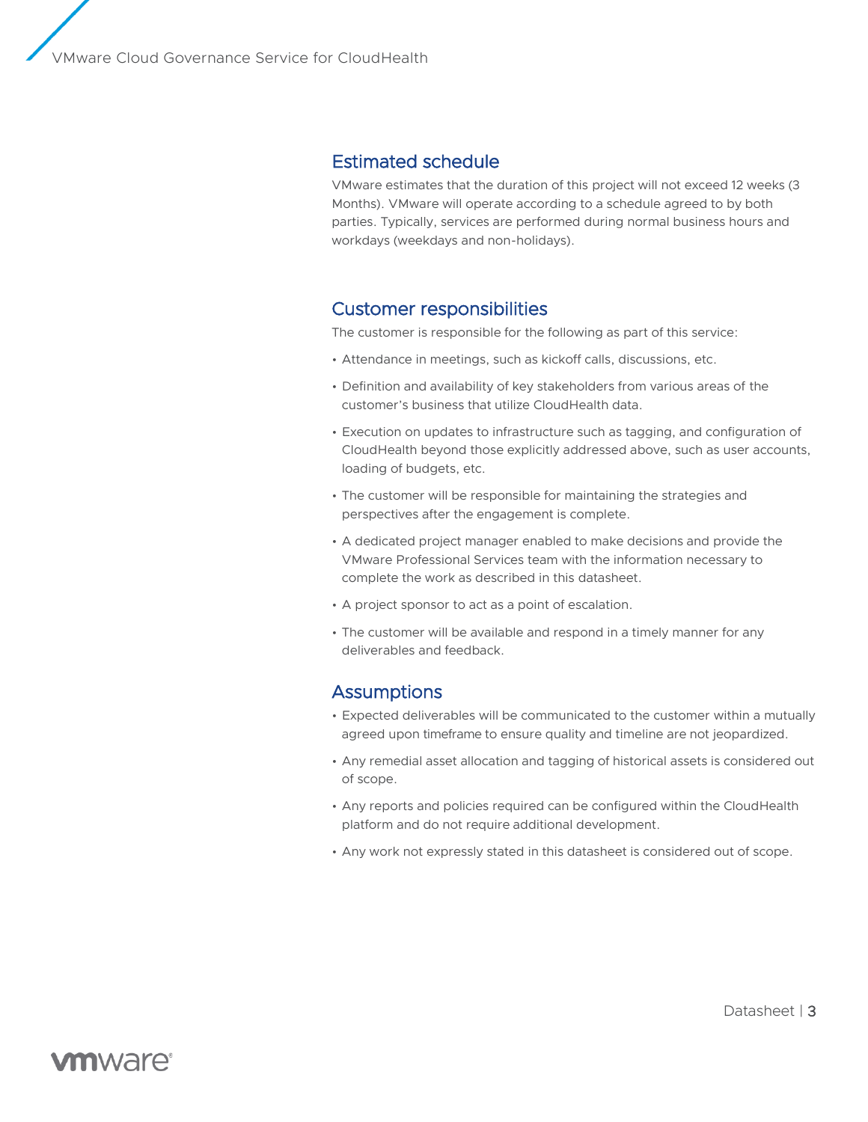VMware Cloud Governance Service for CloudHealth

## Estimated schedule

VMware estimates that the duration of this project will not exceed 12 weeks (3 Months). VMware will operate according to a schedule agreed to by both parties. Typically, services are performed during normal business hours and workdays (weekdays and non-holidays).

## Customer responsibilities

The customer is responsible for the following as part of this service:

- Attendance in meetings, such as kickoff calls, discussions, etc.
- Definition and availability of key stakeholders from various areas of the customer's business that utilize CloudHealth data.
- Execution on updates to infrastructure such as tagging, and configuration of CloudHealth beyond those explicitly addressed above, such as user accounts, loading of budgets, etc.
- The customer will be responsible for maintaining the strategies and perspectives after the engagement is complete.
- A dedicated project manager enabled to make decisions and provide the VMware Professional Services team with the information necessary to complete the work as described in this datasheet.
- A project sponsor to act as a point of escalation.
- The customer will be available and respond in a timely manner for any deliverables and feedback.

#### **Assumptions**

- Expected deliverables will be communicated to the customer within a mutually agreed upon timeframe to ensure quality and timeline are not jeopardized.
- Any remedial asset allocation and tagging of historical assets is considered out of scope.
- Any reports and policies required can be configured within the CloudHealth platform and do not require additional development.
- Any work not expressly stated in this datasheet is considered out of scope.

# **vm**ware<sup>®</sup>